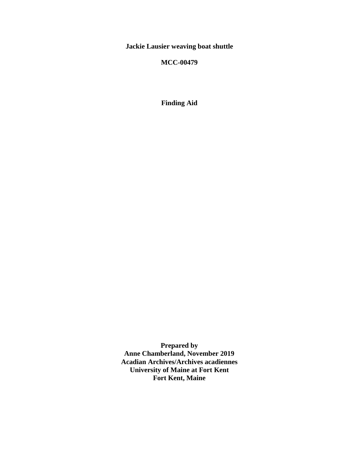**Jackie Lausier weaving boat shuttle**

## **MCC-00479**

**Finding Aid**

**Prepared by Anne Chamberland, November 2019 Acadian Archives/Archives acadiennes University of Maine at Fort Kent Fort Kent, Maine**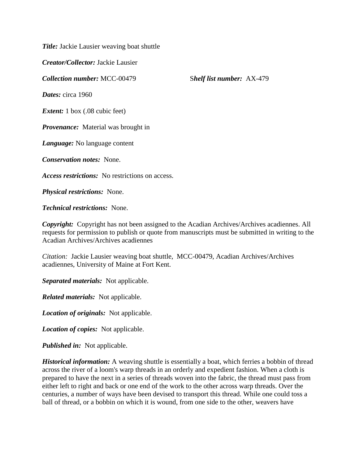*Title:* Jackie Lausier weaving boat shuttle

*Creator/Collector:* Jackie Lausier

*Collection number:* MCC-00479 S*helf list number:* AX-479

*Dates:* circa 1960

*Extent:* 1 box (.08 cubic feet)

*Provenance:* Material was brought in

*Language:* No language content

*Conservation notes:* None.

*Access restrictions:* No restrictions on access.

*Physical restrictions:* None.

*Technical restrictions:* None.

*Copyright:* Copyright has not been assigned to the Acadian Archives/Archives acadiennes. All requests for permission to publish or quote from manuscripts must be submitted in writing to the Acadian Archives/Archives acadiennes

*Citation:* Jackie Lausier weaving boat shuttle, MCC-00479, Acadian Archives/Archives acadiennes, University of Maine at Fort Kent.

*Separated materials:* Not applicable.

*Related materials:* Not applicable.

*Location of originals:* Not applicable.

*Location of copies:* Not applicable.

*Published in:* Not applicable.

*Historical information:* A weaving shuttle is essentially a boat, which ferries a bobbin of thread across the river of a loom's warp threads in an orderly and expedient fashion. When a cloth is prepared to have the next in a series of threads woven into the fabric, the thread must pass from either left to right and back or one end of the work to the other across warp threads. Over the centuries, a number of ways have been devised to transport this thread. While one could toss a ball of thread, or a bobbin on which it is wound, from one side to the other, weavers have